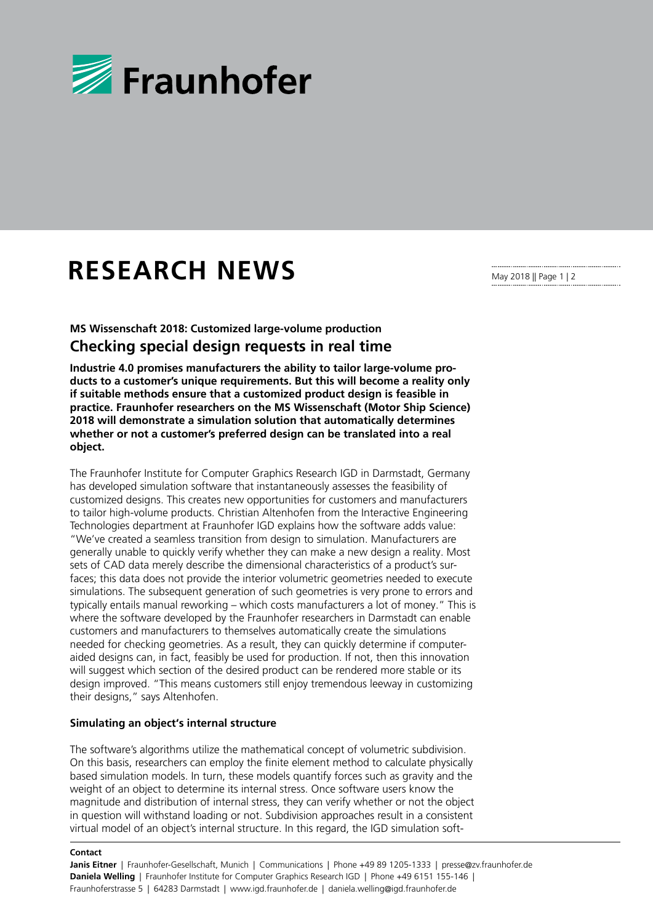

## **RESEARCH NEWS**

**MS Wissenschaft 2018: Customized large-volume production Checking special design requests in real time**

**Industrie 4.0 promises manufacturers the ability to tailor large-volume products to a customer's unique requirements. But this will become a reality only if suitable methods ensure that a customized product design is feasible in practice. Fraunhofer researchers on the MS Wissenschaft (Motor Ship Science) 2018 will demonstrate a simulation solution that automatically determines whether or not a customer's preferred design can be translated into a real object.**

The Fraunhofer Institute for Computer Graphics Research IGD in Darmstadt, Germany has developed simulation software that instantaneously assesses the feasibility of customized designs. This creates new opportunities for customers and manufacturers to tailor high-volume products. Christian Altenhofen from the Interactive Engineering Technologies department at Fraunhofer IGD explains how the software adds value: "We've created a seamless transition from design to simulation. Manufacturers are generally unable to quickly verify whether they can make a new design a reality. Most sets of CAD data merely describe the dimensional characteristics of a product's surfaces; this data does not provide the interior volumetric geometries needed to execute simulations. The subsequent generation of such geometries is very prone to errors and typically entails manual reworking – which costs manufacturers a lot of money." This is where the software developed by the Fraunhofer researchers in Darmstadt can enable customers and manufacturers to themselves automatically create the simulations needed for checking geometries. As a result, they can quickly determine if computeraided designs can, in fact, feasibly be used for production. If not, then this innovation will suggest which section of the desired product can be rendered more stable or its design improved. "This means customers still enjoy tremendous leeway in customizing their designs," says Altenhofen.

## **Simulating an object's internal structure**

The software's algorithms utilize the mathematical concept of volumetric subdivision. On this basis, researchers can employ the finite element method to calculate physically based simulation models. In turn, these models quantify forces such as gravity and the weight of an object to determine its internal stress. Once software users know the magnitude and distribution of internal stress, they can verify whether or not the object in question will withstand loading or not. Subdivision approaches result in a consistent virtual model of an object's internal structure. In this regard, the IGD simulation soft-

## **Contact**

May 2018 || Page 1 | 2